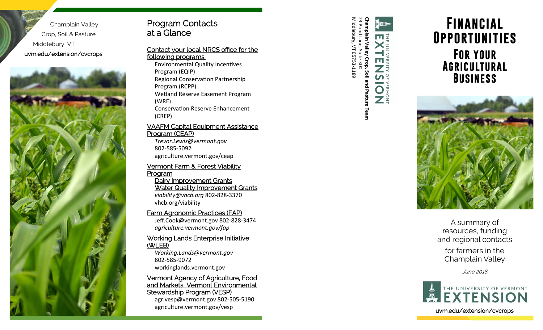Champlain Valley Crop, Soil & Pasture Middlebury, VT uvm.edu/extension/cvcrops



#### VAAFM Capital Equipment Assistance Program (CEAP)

*Trevor.Lewis@vermont.gov*  802‐585‐5092 agriculture.vermont.gov/ceap

#### Vermont Farm & Forest Viability Program Dairy Improvement Grants

# Water Quality Improvement Grants

*viability@vhcb.org* 802‐828‐3370 vhcb.org/viability

### Farm Agronomic Practices (FAP)

Jeff.Cook@vermont.gov 802‐828‐3474 *agriculture.vermont.gov/fap* 

#### Working Lands Enterprise Initiative (WLEB)

*Working.Lands@vermont.gov*  802‐585‐9072 workinglands.vermont.gov

#### Vermont Agency of Agriculture, Food and Markets Vermont Environmental Stewardship Program (VESP)

agr.vesp@vermont.gov 802‐505‐5190 agriculture.vermont.gov/vesp and the set of the set of the set of the set of the set of the set of the set of t

Middlebury, VT 05753‐1189 23 Pond Lane, Suite 300





A summary of resources, funding and regional contacts for farmers in the

Champlain Valley

June 2018